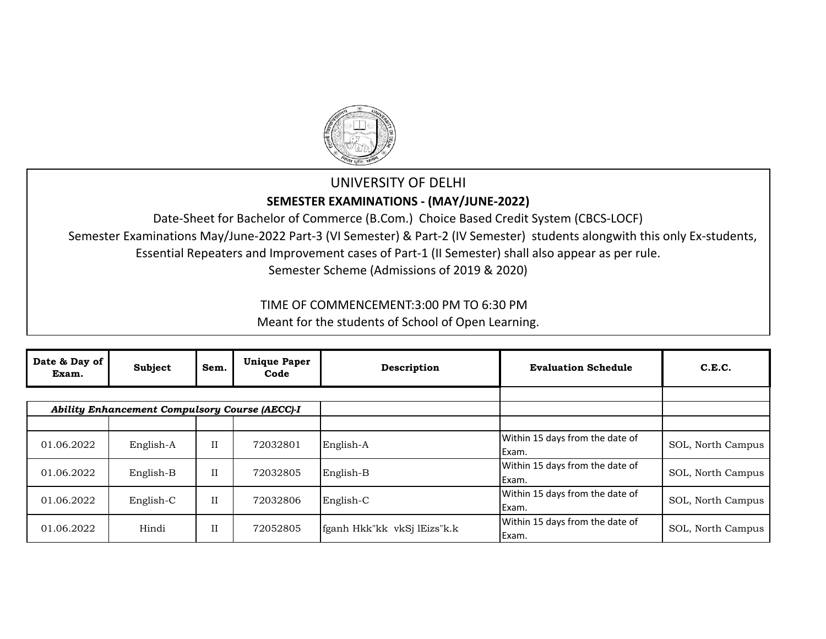

## UNIVERSITY OF DELHI **SEMESTER EXAMINATIONS - (MAY/JUNE-2022)**

Date-Sheet for Bachelor of Commerce (B.Com.) Choice Based Credit System (CBCS-LOCF) Semester Examinations May/June-2022 Part-3 (VI Semester) & Part-2 (IV Semester) students alongwith this only Ex-students, Essential Repeaters and Improvement cases of Part-1 (II Semester) shall also appear as per rule. Semester Scheme (Admissions of 2019 & 2020)

TIME OF COMMENCEMENT:3:00 PM TO 6:30 PM

Meant for the students of School of Open Learning.

| Date & Day of<br>Exam. | Subject                                        | Sem.        | <b>Unique Paper</b><br>Code | Description                 | <b>Evaluation Schedule</b>                | C.E.C.            |
|------------------------|------------------------------------------------|-------------|-----------------------------|-----------------------------|-------------------------------------------|-------------------|
|                        |                                                |             |                             |                             |                                           |                   |
|                        | Ability Enhancement Compulsory Course (AECC)-I |             |                             |                             |                                           |                   |
| 01.06.2022             | English-A                                      | II          | 72032801                    | English-A                   | Within 15 days from the date of<br>Exam.  | SOL, North Campus |
| 01.06.2022             | English-B                                      | $_{\rm II}$ | 72032805                    | English-B                   | Within 15 days from the date of<br>IExam. | SOL, North Campus |
| 01.06.2022             | English-C                                      | II          | 72032806                    | English-C                   | Within 15 days from the date of<br>Exam.  | SOL, North Campus |
| 01.06.2022             | Hindi                                          | II          | 72052805                    | fganh Hkk"kk vkSj lEizs"k.k | Within 15 days from the date of<br>Exam.  | SOL, North Campus |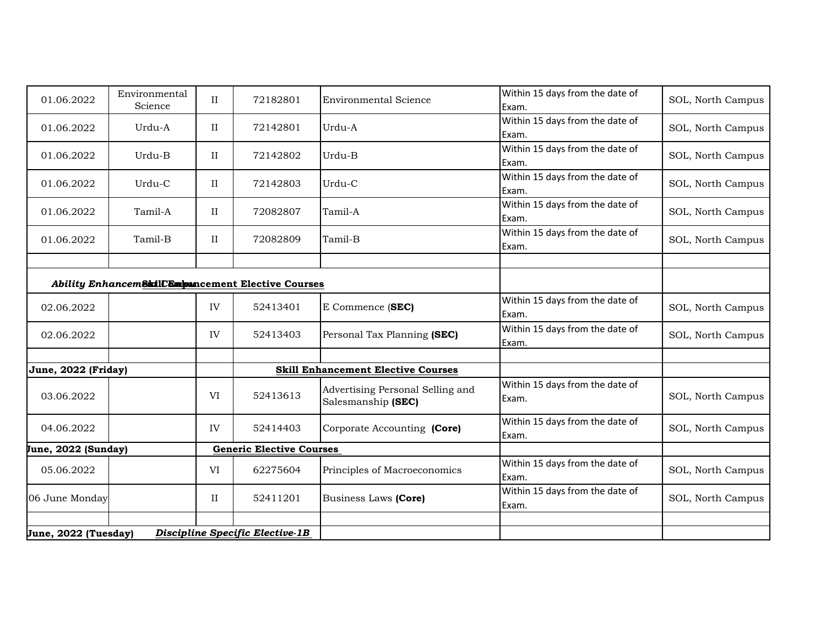| 01.06.2022           | Environmental                                        | $\rm II$    | 72182801                        | <b>Environmental Science</b>              | Within 15 days from the date of          | SOL, North Campus |
|----------------------|------------------------------------------------------|-------------|---------------------------------|-------------------------------------------|------------------------------------------|-------------------|
|                      | Science                                              |             |                                 |                                           | Exam.<br>Within 15 days from the date of |                   |
| 01.06.2022           | Urdu-A                                               | $\rm II$    | 72142801                        | Urdu-A                                    | Exam.                                    | SOL, North Campus |
| 01.06.2022           | Urdu-B                                               | II          | 72142802                        | Urdu-B                                    | Within 15 days from the date of          | SOL, North Campus |
|                      |                                                      |             |                                 |                                           | Exam.                                    |                   |
| 01.06.2022           | Urdu-C                                               | II          | 72142803                        | Urdu-C                                    | Within 15 days from the date of          | SOL, North Campus |
|                      |                                                      |             |                                 |                                           | Exam.                                    |                   |
| 01.06.2022           | Tamil-A                                              | II          | 72082807                        | Tamil-A                                   | Within 15 days from the date of<br>Exam. | SOL, North Campus |
|                      |                                                      |             |                                 |                                           | Within 15 days from the date of          |                   |
| 01.06.2022           | Tamil-B                                              | II          | 72082809                        | Tamil-B                                   | Exam.                                    | SOL, North Campus |
|                      |                                                      |             |                                 |                                           |                                          |                   |
|                      | Ability Enhancem Skill Compancement Elective Courses |             |                                 |                                           |                                          |                   |
|                      |                                                      |             |                                 |                                           | Within 15 days from the date of          |                   |
| 02.06.2022           |                                                      | IV          | 52413401                        | E Commence (SEC)                          | Exam.                                    | SOL, North Campus |
| 02.06.2022           |                                                      | IV          | 52413403                        | Personal Tax Planning (SEC)               | Within 15 days from the date of          | SOL, North Campus |
|                      |                                                      |             |                                 |                                           | Exam.                                    |                   |
| June, 2022 (Friday)  |                                                      |             |                                 | <b>Skill Enhancement Elective Courses</b> |                                          |                   |
|                      |                                                      |             |                                 | Advertising Personal Selling and          | Within 15 days from the date of          |                   |
| 03.06.2022           |                                                      | VI          | 52413613                        | Salesmanship (SEC)                        | Exam.                                    | SOL, North Campus |
| 04.06.2022           |                                                      | IV          | 52414403                        | Corporate Accounting (Core)               | Within 15 days from the date of          | SOL, North Campus |
|                      |                                                      |             |                                 |                                           | Exam.                                    |                   |
| June, 2022 (Sunday)  |                                                      |             | <b>Generic Elective Courses</b> |                                           |                                          |                   |
| 05.06.2022           |                                                      | VI          | 62275604                        | Principles of Macroeconomics              | Within 15 days from the date of<br>Exam. | SOL, North Campus |
| 06 June Monday       |                                                      | $_{\rm II}$ | 52411201                        | Business Laws (Core)                      | Within 15 days from the date of          | SOL, North Campus |
|                      |                                                      |             |                                 |                                           | Exam.                                    |                   |
|                      |                                                      |             |                                 |                                           |                                          |                   |
| June, 2022 (Tuesday) |                                                      |             | Discipline Specific Elective-1B |                                           |                                          |                   |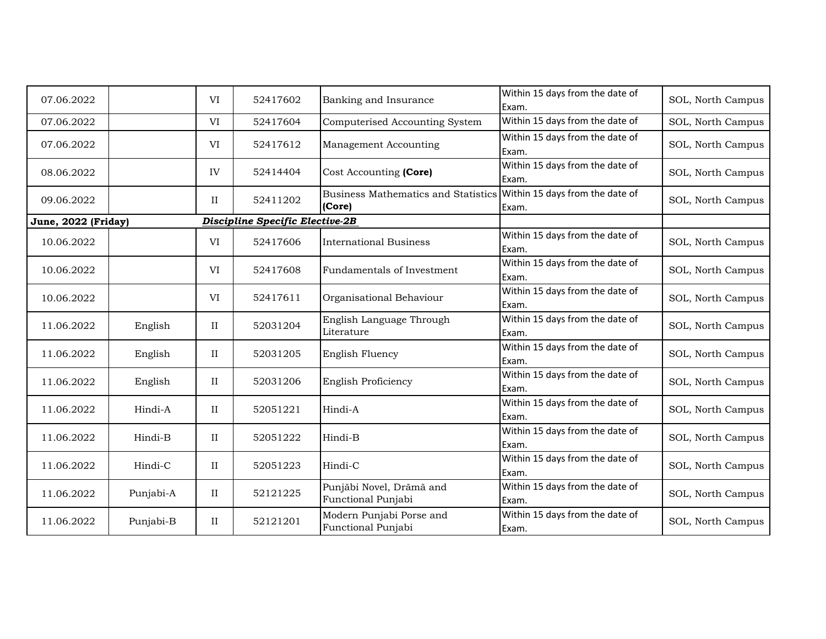| 07.06.2022          |           | VI          | 52417602                               | Banking and Insurance                          | Within 15 days from the date of<br>Exam. | SOL, North Campus |
|---------------------|-----------|-------------|----------------------------------------|------------------------------------------------|------------------------------------------|-------------------|
| 07.06.2022          |           | VI          | 52417604                               | Computerised Accounting System                 | Within 15 days from the date of          | SOL, North Campus |
| 07.06.2022          |           | VI          | 52417612                               | Management Accounting                          | Within 15 days from the date of<br>Exam. | SOL, North Campus |
| 08.06.2022          |           | IV          | 52414404                               | Cost Accounting (Core)                         | Within 15 days from the date of<br>Exam. | SOL, North Campus |
| 09.06.2022          |           | $_{\rm II}$ | 52411202                               | Business Mathematics and Statistics<br>(Core)  | Within 15 days from the date of<br>Exam. | SOL, North Campus |
| June, 2022 (Friday) |           |             | <b>Discipline Specific Elective-2B</b> |                                                |                                          |                   |
| 10.06.2022          |           | VI          | 52417606                               | <b>International Business</b>                  | Within 15 days from the date of<br>Exam. | SOL, North Campus |
| 10.06.2022          |           | VI          | 52417608                               | Fundamentals of Investment                     | Within 15 days from the date of<br>Exam. | SOL, North Campus |
| 10.06.2022          |           | VI          | 52417611                               | Organisational Behaviour                       | Within 15 days from the date of<br>Exam. | SOL, North Campus |
| 11.06.2022          | English   | II          | 52031204                               | English Language Through<br>Literature         | Within 15 days from the date of<br>Exam. | SOL, North Campus |
| 11.06.2022          | English   | $\rm II$    | 52031205                               | English Fluency                                | Within 15 days from the date of<br>Exam. | SOL, North Campus |
| 11.06.2022          | English   | $_{\rm II}$ | 52031206                               | English Proficiency                            | Within 15 days from the date of<br>Exam. | SOL, North Campus |
| 11.06.2022          | Hindi-A   | II          | 52051221                               | Hindi-A                                        | Within 15 days from the date of<br>Exam. | SOL, North Campus |
| 11.06.2022          | Hindi-B   | $\rm II$    | 52051222                               | Hindi-B                                        | Within 15 days from the date of<br>Exam. | SOL, North Campus |
| 11.06.2022          | Hindi-C   | $\rm II$    | 52051223                               | Hindi-C                                        | Within 15 days from the date of<br>Exam. | SOL, North Campus |
| 11.06.2022          | Punjabi-A | $_{\rm II}$ | 52121225                               | Punjābi Novel, Drāmā and<br>Functional Punjabi | Within 15 days from the date of<br>Exam. | SOL, North Campus |
| 11.06.2022          | Punjabi-B | II          | 52121201                               | Modern Punjabi Porse and<br>Functional Punjabi | Within 15 days from the date of<br>Exam. | SOL, North Campus |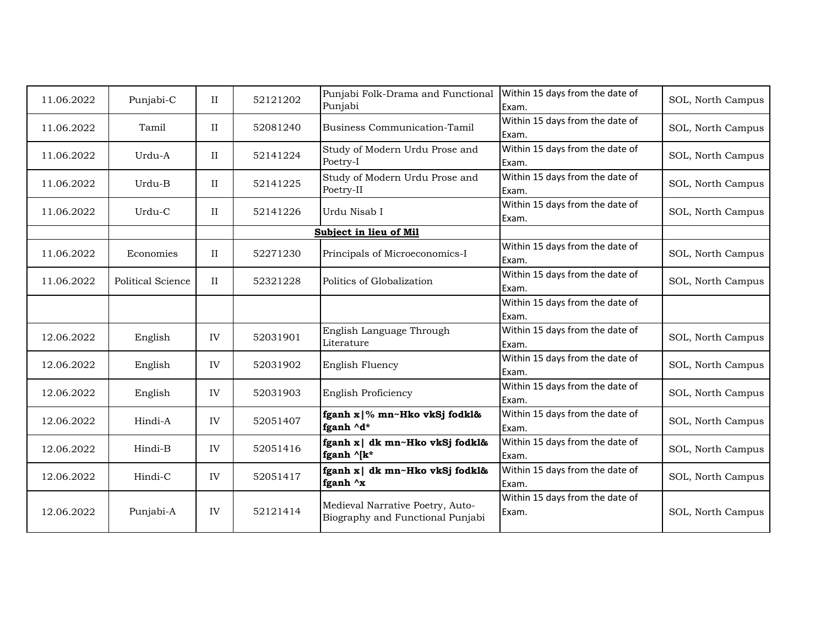| 11.06.2022 | Punjabi-C         | II          | 52121202 | Punjabi Folk-Drama and Functional<br>Punjabi                         | Within 15 days from the date of<br>Exam. | SOL, North Campus |
|------------|-------------------|-------------|----------|----------------------------------------------------------------------|------------------------------------------|-------------------|
| 11.06.2022 | Tamil             | $_{\rm II}$ | 52081240 | <b>Business Communication-Tamil</b>                                  | Within 15 days from the date of<br>Exam. | SOL, North Campus |
| 11.06.2022 | Urdu-A            | $_{\rm II}$ | 52141224 | Study of Modern Urdu Prose and<br>Poetry-I                           | Within 15 days from the date of<br>Exam. | SOL, North Campus |
| 11.06.2022 | Urdu-B            | $_{\rm II}$ | 52141225 | Study of Modern Urdu Prose and<br>Poetry-II                          | Within 15 days from the date of<br>Exam. | SOL, North Campus |
| 11.06.2022 | Urdu-C            | $\rm II$    | 52141226 | Urdu Nisab I                                                         | Within 15 days from the date of<br>Exam. | SOL, North Campus |
|            |                   |             |          | Subject in lieu of Mil                                               |                                          |                   |
| 11.06.2022 | Economies         | $_{\rm II}$ | 52271230 | Principals of Microeconomics-I                                       | Within 15 days from the date of<br>Exam. | SOL, North Campus |
| 11.06.2022 | Political Science | II          | 52321228 | Politics of Globalization                                            | Within 15 days from the date of<br>Exam. | SOL, North Campus |
|            |                   |             |          |                                                                      | Within 15 days from the date of<br>Exam. |                   |
| 12.06.2022 | English           | IV          | 52031901 | English Language Through<br>Literature                               | Within 15 days from the date of<br>Exam. | SOL, North Campus |
| 12.06.2022 | English           | IV          | 52031902 | English Fluency                                                      | Within 15 days from the date of<br>Exam. | SOL, North Campus |
| 12.06.2022 | English           | IV          | 52031903 | English Proficiency                                                  | Within 15 days from the date of<br>Exam. | SOL, North Campus |
| 12.06.2022 | Hindi-A           | IV          | 52051407 | fganh x  % mn~Hko vkSj fodkl&<br>fganh ^d*                           | Within 15 days from the date of<br>Exam. | SOL, North Campus |
| 12.06.2022 | Hindi-B           | IV          | 52051416 | fganh x   dk mn~Hko vkSj fodkl&<br>fganh ^[k*                        | Within 15 days from the date of<br>Exam. | SOL, North Campus |
| 12.06.2022 | Hindi-C           | IV          | 52051417 | fganh x   dk mn~Hko vkSj fodkl&<br>fganh ^x                          | Within 15 days from the date of<br>Exam. | SOL, North Campus |
| 12.06.2022 | Punjabi-A         | IV          | 52121414 | Medieval Narrative Poetry, Auto-<br>Biography and Functional Punjabi | Within 15 days from the date of<br>Exam. | SOL, North Campus |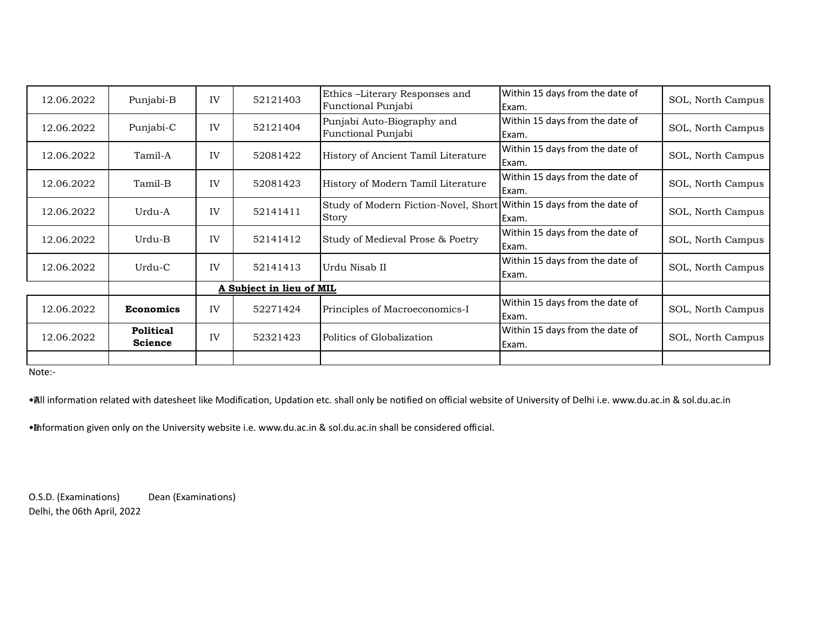| 12.06.2022 | Punjabi-B                   | IV | 52121403                 | Ethics -Literary Responses and<br>Functional Punjabi                          | Within 15 days from the date of<br>Exam. | SOL, North Campus |
|------------|-----------------------------|----|--------------------------|-------------------------------------------------------------------------------|------------------------------------------|-------------------|
| 12.06.2022 | Punjabi-C                   | IV | 52121404                 | Punjabi Auto-Biography and<br>Functional Punjabi                              | Within 15 days from the date of<br>Exam. | SOL, North Campus |
| 12.06.2022 | Tamil-A                     | IV | 52081422                 | History of Ancient Tamil Literature                                           | Within 15 days from the date of<br>Exam. | SOL, North Campus |
| 12.06.2022 | Tamil-B                     | IV | 52081423                 | History of Modern Tamil Literature                                            | Within 15 days from the date of<br>Exam. | SOL, North Campus |
| 12.06.2022 | Urdu-A                      | IV | 52141411                 | Study of Modern Fiction-Novel, Short Within 15 days from the date of<br>Story | Exam.                                    | SOL, North Campus |
| 12.06.2022 | Urdu-B                      | IV | 52141412                 | Study of Medieval Prose & Poetry                                              | Within 15 days from the date of<br>Exam. | SOL, North Campus |
| 12.06.2022 | Urdu-C                      | IV | 52141413                 | Urdu Nisab II                                                                 | Within 15 days from the date of<br>Exam. | SOL, North Campus |
|            |                             |    | A Subject in lieu of MIL |                                                                               |                                          |                   |
| 12.06.2022 | <b>Economics</b>            | IV | 52271424                 | Principles of Macroeconomics-I                                                | Within 15 days from the date of<br>Exam. | SOL, North Campus |
| 12.06.2022 | Political<br><b>Science</b> | IV | 52321423                 | Politics of Globalization                                                     | Within 15 days from the date of<br>Exam. | SOL, North Campus |
|            |                             |    |                          |                                                                               |                                          |                   |

Note:- 

· All information related with datesheet like Modification, Updation etc. shall only be notified on official website of University of Delhi i.e. www.du.ac.in & sol.du.ac.in

• Information given only on the University website i.e. www.du.ac.in & sol.du.ac.in shall be considered official.

O.S.D. (Examinations) Dean (Examinations) Delhi, the 06th April, 2022